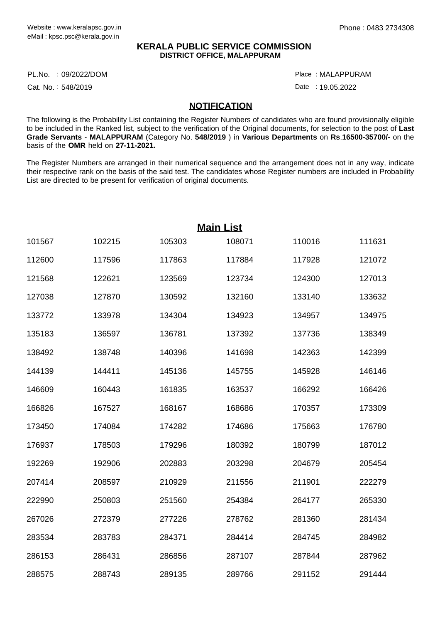## **KERALA PUBLIC SERVICE COMMISSION DISTRICT OFFICE, MALAPPURAM**

PL.No. :09/2022/DOM Place

Cat. No.: 548/2019

MALAPPURAM :

Date : 19.05.2022

## **NOTIFICATION**

The following is the Probability List containing the Register Numbers of candidates who are found provisionally eligible to be included in the Ranked list, subject to the verification of the Original documents, for selection to the post of **Last Grade Servants** - **MALAPPURAM** (Category No. **548/2019** ) in **Various Departments** on **Rs**.**16500-35700/-** on the basis of the **OMR** held on **27-11-2021.**

The Register Numbers are arranged in their numerical sequence and the arrangement does not in any way, indicate their respective rank on the basis of the said test. The candidates whose Register numbers are included in Probability List are directed to be present for verification of original documents.

|        |        |        | <b>Main List</b> |        |        |
|--------|--------|--------|------------------|--------|--------|
| 101567 | 102215 | 105303 | 108071           | 110016 | 111631 |
| 112600 | 117596 | 117863 | 117884           | 117928 | 121072 |
| 121568 | 122621 | 123569 | 123734           | 124300 | 127013 |
| 127038 | 127870 | 130592 | 132160           | 133140 | 133632 |
| 133772 | 133978 | 134304 | 134923           | 134957 | 134975 |
| 135183 | 136597 | 136781 | 137392           | 137736 | 138349 |
| 138492 | 138748 | 140396 | 141698           | 142363 | 142399 |
| 144139 | 144411 | 145136 | 145755           | 145928 | 146146 |
| 146609 | 160443 | 161835 | 163537           | 166292 | 166426 |
| 166826 | 167527 | 168167 | 168686           | 170357 | 173309 |
| 173450 | 174084 | 174282 | 174686           | 175663 | 176780 |
| 176937 | 178503 | 179296 | 180392           | 180799 | 187012 |
| 192269 | 192906 | 202883 | 203298           | 204679 | 205454 |
| 207414 | 208597 | 210929 | 211556           | 211901 | 222279 |
| 222990 | 250803 | 251560 | 254384           | 264177 | 265330 |
| 267026 | 272379 | 277226 | 278762           | 281360 | 281434 |
| 283534 | 283783 | 284371 | 284414           | 284745 | 284982 |
| 286153 | 286431 | 286856 | 287107           | 287844 | 287962 |
| 288575 | 288743 | 289135 | 289766           | 291152 | 291444 |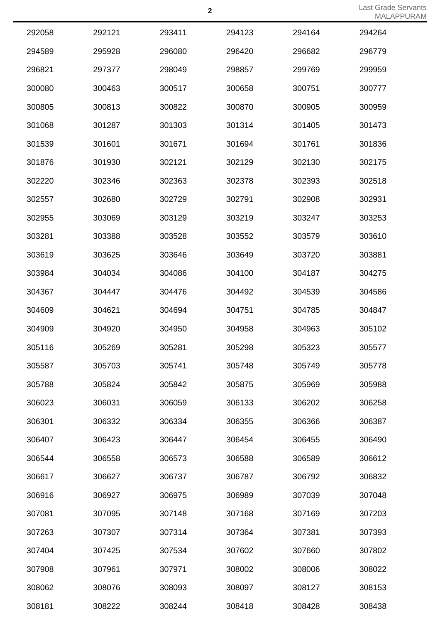|        |        |        |        |        | $\cdots$ |
|--------|--------|--------|--------|--------|----------|
| 292058 | 292121 | 293411 | 294123 | 294164 | 294264   |
| 294589 | 295928 | 296080 | 296420 | 296682 | 296779   |
| 296821 | 297377 | 298049 | 298857 | 299769 | 299959   |
| 300080 | 300463 | 300517 | 300658 | 300751 | 300777   |
| 300805 | 300813 | 300822 | 300870 | 300905 | 300959   |
| 301068 | 301287 | 301303 | 301314 | 301405 | 301473   |
| 301539 | 301601 | 301671 | 301694 | 301761 | 301836   |
| 301876 | 301930 | 302121 | 302129 | 302130 | 302175   |
| 302220 | 302346 | 302363 | 302378 | 302393 | 302518   |
| 302557 | 302680 | 302729 | 302791 | 302908 | 302931   |
| 302955 | 303069 | 303129 | 303219 | 303247 | 303253   |
| 303281 | 303388 | 303528 | 303552 | 303579 | 303610   |
| 303619 | 303625 | 303646 | 303649 | 303720 | 303881   |
| 303984 | 304034 | 304086 | 304100 | 304187 | 304275   |
| 304367 | 304447 | 304476 | 304492 | 304539 | 304586   |
| 304609 | 304621 | 304694 | 304751 | 304785 | 304847   |
| 304909 | 304920 | 304950 | 304958 | 304963 | 305102   |
| 305116 | 305269 | 305281 | 305298 | 305323 | 305577   |
| 305587 | 305703 | 305741 | 305748 | 305749 | 305778   |
| 305788 | 305824 | 305842 | 305875 | 305969 | 305988   |
| 306023 | 306031 | 306059 | 306133 | 306202 | 306258   |
| 306301 | 306332 | 306334 | 306355 | 306366 | 306387   |
| 306407 | 306423 | 306447 | 306454 | 306455 | 306490   |
| 306544 | 306558 | 306573 | 306588 | 306589 | 306612   |
| 306617 | 306627 | 306737 | 306787 | 306792 | 306832   |
| 306916 | 306927 | 306975 | 306989 | 307039 | 307048   |
| 307081 | 307095 | 307148 | 307168 | 307169 | 307203   |
| 307263 | 307307 | 307314 | 307364 | 307381 | 307393   |
| 307404 | 307425 | 307534 | 307602 | 307660 | 307802   |
| 307908 | 307961 | 307971 | 308002 | 308006 | 308022   |
| 308062 | 308076 | 308093 | 308097 | 308127 | 308153   |
| 308181 | 308222 | 308244 | 308418 | 308428 | 308438   |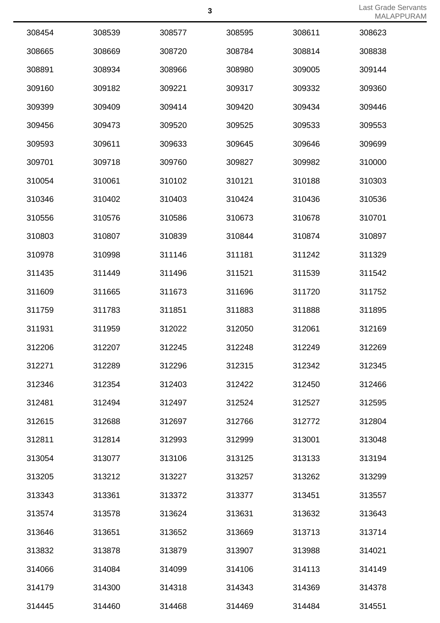Last Grade Servants MALAPPURAM

|        |        |        |        |        | $\frac{1}{2}$ |
|--------|--------|--------|--------|--------|---------------|
| 308454 | 308539 | 308577 | 308595 | 308611 | 308623        |
| 308665 | 308669 | 308720 | 308784 | 308814 | 308838        |
| 308891 | 308934 | 308966 | 308980 | 309005 | 309144        |
| 309160 | 309182 | 309221 | 309317 | 309332 | 309360        |
| 309399 | 309409 | 309414 | 309420 | 309434 | 309446        |
| 309456 | 309473 | 309520 | 309525 | 309533 | 309553        |
| 309593 | 309611 | 309633 | 309645 | 309646 | 309699        |
| 309701 | 309718 | 309760 | 309827 | 309982 | 310000        |
| 310054 | 310061 | 310102 | 310121 | 310188 | 310303        |
| 310346 | 310402 | 310403 | 310424 | 310436 | 310536        |
| 310556 | 310576 | 310586 | 310673 | 310678 | 310701        |
| 310803 | 310807 | 310839 | 310844 | 310874 | 310897        |
| 310978 | 310998 | 311146 | 311181 | 311242 | 311329        |
| 311435 | 311449 | 311496 | 311521 | 311539 | 311542        |
| 311609 | 311665 | 311673 | 311696 | 311720 | 311752        |
| 311759 | 311783 | 311851 | 311883 | 311888 | 311895        |
| 311931 | 311959 | 312022 | 312050 | 312061 | 312169        |
| 312206 | 312207 | 312245 | 312248 | 312249 | 312269        |
| 312271 | 312289 | 312296 | 312315 | 312342 | 312345        |
| 312346 | 312354 | 312403 | 312422 | 312450 | 312466        |
| 312481 | 312494 | 312497 | 312524 | 312527 | 312595        |
| 312615 | 312688 | 312697 | 312766 | 312772 | 312804        |
| 312811 | 312814 | 312993 | 312999 | 313001 | 313048        |
| 313054 | 313077 | 313106 | 313125 | 313133 | 313194        |
| 313205 | 313212 | 313227 | 313257 | 313262 | 313299        |
| 313343 | 313361 | 313372 | 313377 | 313451 | 313557        |
| 313574 | 313578 | 313624 | 313631 | 313632 | 313643        |
| 313646 | 313651 | 313652 | 313669 | 313713 | 313714        |
| 313832 | 313878 | 313879 | 313907 | 313988 | 314021        |
| 314066 | 314084 | 314099 | 314106 | 314113 | 314149        |
| 314179 | 314300 | 314318 | 314343 | 314369 | 314378        |
| 314445 | 314460 | 314468 | 314469 | 314484 | 314551        |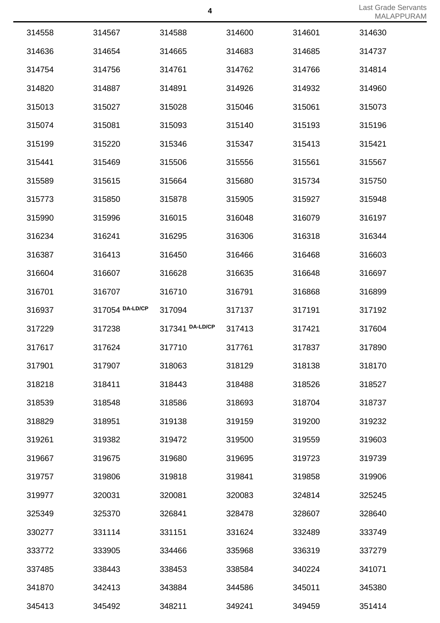|        |                 |                 |        |        | $1 \vee 1 \wedge \vee \sqcup \wedge \vee$ |
|--------|-----------------|-----------------|--------|--------|-------------------------------------------|
| 314558 | 314567          | 314588          | 314600 | 314601 | 314630                                    |
| 314636 | 314654          | 314665          | 314683 | 314685 | 314737                                    |
| 314754 | 314756          | 314761          | 314762 | 314766 | 314814                                    |
| 314820 | 314887          | 314891          | 314926 | 314932 | 314960                                    |
| 315013 | 315027          | 315028          | 315046 | 315061 | 315073                                    |
| 315074 | 315081          | 315093          | 315140 | 315193 | 315196                                    |
| 315199 | 315220          | 315346          | 315347 | 315413 | 315421                                    |
| 315441 | 315469          | 315506          | 315556 | 315561 | 315567                                    |
| 315589 | 315615          | 315664          | 315680 | 315734 | 315750                                    |
| 315773 | 315850          | 315878          | 315905 | 315927 | 315948                                    |
| 315990 | 315996          | 316015          | 316048 | 316079 | 316197                                    |
| 316234 | 316241          | 316295          | 316306 | 316318 | 316344                                    |
| 316387 | 316413          | 316450          | 316466 | 316468 | 316603                                    |
| 316604 | 316607          | 316628          | 316635 | 316648 | 316697                                    |
| 316701 | 316707          | 316710          | 316791 | 316868 | 316899                                    |
| 316937 | 317054 DA-LD/CP | 317094          | 317137 | 317191 | 317192                                    |
| 317229 | 317238          | 317341 DA-LD/CP | 317413 | 317421 | 317604                                    |
| 317617 | 317624          | 317710          | 317761 | 317837 | 317890                                    |
| 317901 | 317907          | 318063          | 318129 | 318138 | 318170                                    |
| 318218 | 318411          | 318443          | 318488 | 318526 | 318527                                    |
| 318539 | 318548          | 318586          | 318693 | 318704 | 318737                                    |
| 318829 | 318951          | 319138          | 319159 | 319200 | 319232                                    |
| 319261 | 319382          | 319472          | 319500 | 319559 | 319603                                    |
| 319667 | 319675          | 319680          | 319695 | 319723 | 319739                                    |
| 319757 | 319806          | 319818          | 319841 | 319858 | 319906                                    |
| 319977 | 320031          | 320081          | 320083 | 324814 | 325245                                    |
| 325349 | 325370          | 326841          | 328478 | 328607 | 328640                                    |
| 330277 | 331114          | 331151          | 331624 | 332489 | 333749                                    |
| 333772 | 333905          | 334466          | 335968 | 336319 | 337279                                    |
| 337485 | 338443          | 338453          | 338584 | 340224 | 341071                                    |
| 341870 | 342413          | 343884          | 344586 | 345011 | 345380                                    |
| 345413 | 345492          | 348211          | 349241 | 349459 | 351414                                    |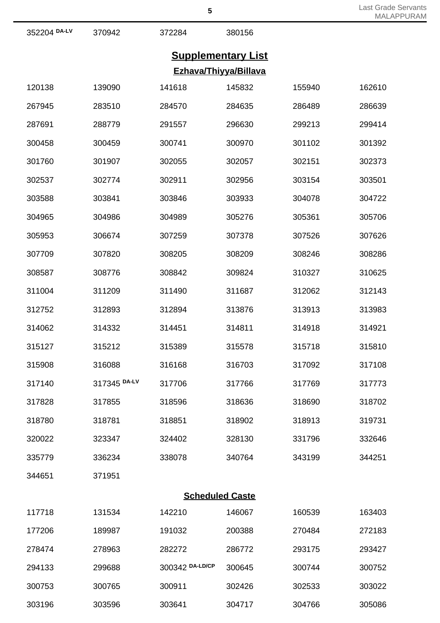|              |                           | C               |                        |        | <b>MALAPPURAM</b> |  |  |  |
|--------------|---------------------------|-----------------|------------------------|--------|-------------------|--|--|--|
| 352204 DA-LV | 370942                    | 372284          | 380156                 |        |                   |  |  |  |
|              | <b>Supplementary List</b> |                 |                        |        |                   |  |  |  |
|              |                           |                 | Ezhava/Thiyya/Billava  |        |                   |  |  |  |
| 120138       | 139090                    | 141618          | 145832                 | 155940 | 162610            |  |  |  |
| 267945       | 283510                    | 284570          | 284635                 | 286489 | 286639            |  |  |  |
| 287691       | 288779                    | 291557          | 296630                 | 299213 | 299414            |  |  |  |
| 300458       | 300459                    | 300741          | 300970                 | 301102 | 301392            |  |  |  |
| 301760       | 301907                    | 302055          | 302057                 | 302151 | 302373            |  |  |  |
| 302537       | 302774                    | 302911          | 302956                 | 303154 | 303501            |  |  |  |
| 303588       | 303841                    | 303846          | 303933                 | 304078 | 304722            |  |  |  |
| 304965       | 304986                    | 304989          | 305276                 | 305361 | 305706            |  |  |  |
| 305953       | 306674                    | 307259          | 307378                 | 307526 | 307626            |  |  |  |
| 307709       | 307820                    | 308205          | 308209                 | 308246 | 308286            |  |  |  |
| 308587       | 308776                    | 308842          | 309824                 | 310327 | 310625            |  |  |  |
| 311004       | 311209                    | 311490          | 311687                 | 312062 | 312143            |  |  |  |
| 312752       | 312893                    | 312894          | 313876                 | 313913 | 313983            |  |  |  |
| 314062       | 314332                    | 314451          | 314811                 | 314918 | 314921            |  |  |  |
| 315127       | 315212                    | 315389          | 315578                 | 315718 | 315810            |  |  |  |
| 315908       | 316088                    | 316168          | 316703                 | 317092 | 317108            |  |  |  |
| 317140       | 317345 DA-LV              | 317706          | 317766                 | 317769 | 317773            |  |  |  |
| 317828       | 317855                    | 318596          | 318636                 | 318690 | 318702            |  |  |  |
| 318780       | 318781                    | 318851          | 318902                 | 318913 | 319731            |  |  |  |
| 320022       | 323347                    | 324402          | 328130                 | 331796 | 332646            |  |  |  |
| 335779       | 336234                    | 338078          | 340764                 | 343199 | 344251            |  |  |  |
| 344651       | 371951                    |                 |                        |        |                   |  |  |  |
|              |                           |                 | <b>Scheduled Caste</b> |        |                   |  |  |  |
| 117718       | 131534                    | 142210          | 146067                 | 160539 | 163403            |  |  |  |
| 177206       | 189987                    | 191032          | 200388                 | 270484 | 272183            |  |  |  |
| 278474       | 278963                    | 282272          | 286772                 | 293175 | 293427            |  |  |  |
| 294133       | 299688                    | 300342 DA-LD/CP | 300645                 | 300744 | 300752            |  |  |  |
| 300753       | 300765                    | 300911          | 302426                 | 302533 | 303022            |  |  |  |

303596 303641 304717 304766 305086

Last Grade Servants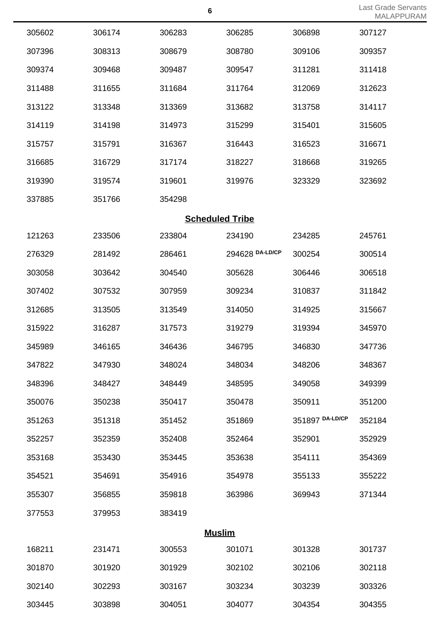|        |        |                        |                 |                 | $\cdots$ |
|--------|--------|------------------------|-----------------|-----------------|----------|
| 305602 | 306174 | 306283                 | 306285          | 306898          | 307127   |
| 307396 | 308313 | 308679                 | 308780          | 309106          | 309357   |
| 309374 | 309468 | 309487                 | 309547          | 311281          | 311418   |
| 311488 | 311655 | 311684                 | 311764          | 312069          | 312623   |
| 313122 | 313348 | 313369                 | 313682          | 313758          | 314117   |
| 314119 | 314198 | 314973                 | 315299          | 315401          | 315605   |
| 315757 | 315791 | 316367                 | 316443          | 316523          | 316671   |
| 316685 | 316729 | 317174                 | 318227          | 318668          | 319265   |
| 319390 | 319574 | 319601                 | 319976          | 323329          | 323692   |
| 337885 | 351766 | 354298                 |                 |                 |          |
|        |        | <b>Scheduled Tribe</b> |                 |                 |          |
| 121263 | 233506 | 233804                 | 234190          | 234285          | 245761   |
| 276329 | 281492 | 286461                 | 294628 DA-LD/CP | 300254          | 300514   |
| 303058 | 303642 | 304540                 | 305628          | 306446          | 306518   |
| 307402 | 307532 | 307959                 | 309234          | 310837          | 311842   |
| 312685 | 313505 | 313549                 | 314050          | 314925          | 315667   |
| 315922 | 316287 | 317573                 | 319279          | 319394          | 345970   |
| 345989 | 346165 | 346436                 | 346795          | 346830          | 347736   |
| 347822 | 347930 | 348024                 | 348034          | 348206          | 348367   |
| 348396 | 348427 | 348449                 | 348595          | 349058          | 349399   |
| 350076 | 350238 | 350417                 | 350478          | 350911          | 351200   |
| 351263 | 351318 | 351452                 | 351869          | 351897 DA-LD/CP | 352184   |
| 352257 | 352359 | 352408                 | 352464          | 352901          | 352929   |
| 353168 | 353430 | 353445                 | 353638          | 354111          | 354369   |
| 354521 | 354691 | 354916                 | 354978          | 355133          | 355222   |
| 355307 | 356855 | 359818                 | 363986          | 369943          | 371344   |
| 377553 | 379953 | 383419                 |                 |                 |          |
|        |        | <b>Muslim</b>          |                 |                 |          |
| 168211 | 231471 | 300553                 | 301071          | 301328          | 301737   |
| 301870 | 301920 | 301929                 | 302102          | 302106          | 302118   |
| 302140 | 302293 | 303167                 | 303234          | 303239          | 303326   |
| 303445 | 303898 | 304051                 | 304077          | 304354          | 304355   |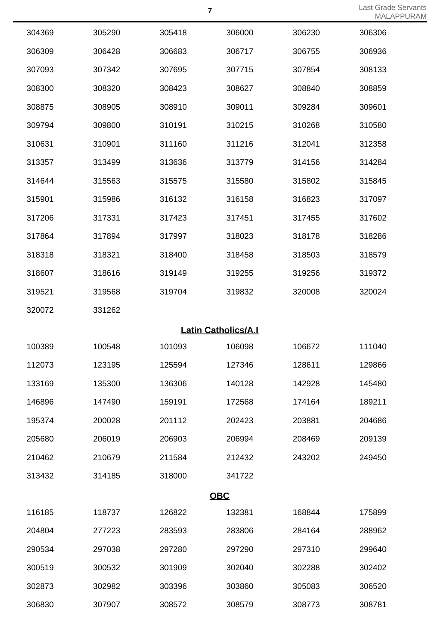Last Grade Servants MALAPPURAM

|        |        |                            |        |        | $1 \vee 1 \vee \vee \square \wedge \vee$ |
|--------|--------|----------------------------|--------|--------|------------------------------------------|
| 304369 | 305290 | 305418                     | 306000 | 306230 | 306306                                   |
| 306309 | 306428 | 306683                     | 306717 | 306755 | 306936                                   |
| 307093 | 307342 | 307695                     | 307715 | 307854 | 308133                                   |
| 308300 | 308320 | 308423                     | 308627 | 308840 | 308859                                   |
| 308875 | 308905 | 308910                     | 309011 | 309284 | 309601                                   |
| 309794 | 309800 | 310191                     | 310215 | 310268 | 310580                                   |
| 310631 | 310901 | 311160                     | 311216 | 312041 | 312358                                   |
| 313357 | 313499 | 313636                     | 313779 | 314156 | 314284                                   |
| 314644 | 315563 | 315575                     | 315580 | 315802 | 315845                                   |
| 315901 | 315986 | 316132                     | 316158 | 316823 | 317097                                   |
| 317206 | 317331 | 317423                     | 317451 | 317455 | 317602                                   |
| 317864 | 317894 | 317997                     | 318023 | 318178 | 318286                                   |
| 318318 | 318321 | 318400                     | 318458 | 318503 | 318579                                   |
| 318607 | 318616 | 319149                     | 319255 | 319256 | 319372                                   |
| 319521 | 319568 | 319704                     | 319832 | 320008 | 320024                                   |
| 320072 | 331262 |                            |        |        |                                          |
|        |        | <b>Latin Catholics/A.I</b> |        |        |                                          |
| 100389 | 100548 | 101093                     | 106098 | 106672 | 111040                                   |
| 112073 | 123195 | 125594                     | 127346 | 128611 | 129866                                   |
| 133169 | 135300 | 136306                     | 140128 | 142928 | 145480                                   |
| 146896 | 147490 | 159191                     | 172568 | 174164 | 189211                                   |
| 195374 | 200028 | 201112                     | 202423 | 203881 | 204686                                   |
| 205680 | 206019 | 206903                     | 206994 | 208469 | 209139                                   |
| 210462 | 210679 | 211584                     | 212432 | 243202 | 249450                                   |
| 313432 | 314185 | 318000                     | 341722 |        |                                          |
|        |        | <b>OBC</b>                 |        |        |                                          |
| 116185 | 118737 | 126822                     | 132381 | 168844 | 175899                                   |
| 204804 | 277223 | 283593                     | 283806 | 284164 | 288962                                   |
| 290534 | 297038 | 297280                     | 297290 | 297310 | 299640                                   |
| 300519 | 300532 | 301909                     | 302040 | 302288 | 302402                                   |
| 302873 | 302982 | 303396                     | 303860 | 305083 | 306520                                   |
| 306830 | 307907 | 308572                     | 308579 | 308773 | 308781                                   |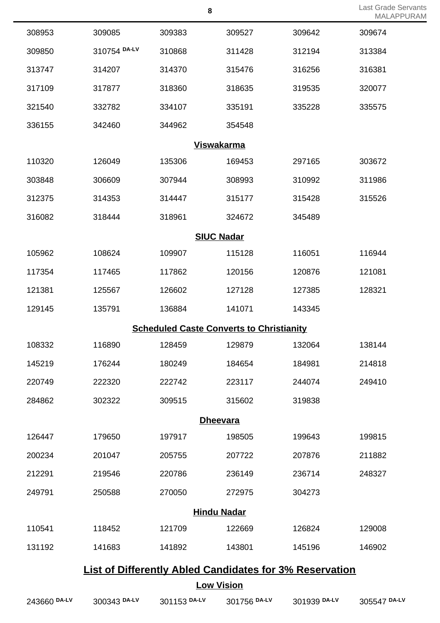|                                                                |              |                                                 |        |        | <b>IVIALAPF</b> |  |
|----------------------------------------------------------------|--------------|-------------------------------------------------|--------|--------|-----------------|--|
| 308953                                                         | 309085       | 309383                                          | 309527 | 309642 | 309674          |  |
| 309850                                                         | 310754 DA-LV | 310868                                          | 311428 | 312194 | 313384          |  |
| 313747                                                         | 314207       | 314370                                          | 315476 | 316256 | 316381          |  |
| 317109                                                         | 317877       | 318360                                          | 318635 | 319535 | 320077          |  |
| 321540                                                         | 332782       | 334107                                          | 335191 | 335228 | 335575          |  |
| 336155                                                         | 342460       | 344962                                          | 354548 |        |                 |  |
|                                                                |              | <b>Viswakarma</b>                               |        |        |                 |  |
| 110320                                                         | 126049       | 135306                                          | 169453 | 297165 | 303672          |  |
| 303848                                                         | 306609       | 307944                                          | 308993 | 310992 | 311986          |  |
| 312375                                                         | 314353       | 314447                                          | 315177 | 315428 | 315526          |  |
| 316082                                                         | 318444       | 318961                                          | 324672 | 345489 |                 |  |
|                                                                |              | <b>SIUC Nadar</b>                               |        |        |                 |  |
| 105962                                                         | 108624       | 109907                                          | 115128 | 116051 | 116944          |  |
| 117354                                                         | 117465       | 117862                                          | 120156 | 120876 | 121081          |  |
| 121381                                                         | 125567       | 126602                                          | 127128 | 127385 | 128321          |  |
| 129145                                                         | 135791       | 136884                                          | 141071 | 143345 |                 |  |
|                                                                |              | <b>Scheduled Caste Converts to Christianity</b> |        |        |                 |  |
| 108332                                                         | 116890       | 128459                                          | 129879 | 132064 | 138144          |  |
| 145219                                                         | 176244       | 180249                                          | 184654 | 184981 | 214818          |  |
| 220749                                                         | 222320       | 222742                                          | 223117 | 244074 | 249410          |  |
| 284862                                                         | 302322       | 309515                                          | 315602 | 319838 |                 |  |
|                                                                |              | <b>Dheevara</b>                                 |        |        |                 |  |
| 126447                                                         | 179650       | 197917                                          | 198505 | 199643 | 199815          |  |
| 200234                                                         | 201047       | 205755                                          | 207722 | 207876 | 211882          |  |
| 212291                                                         | 219546       | 220786                                          | 236149 | 236714 | 248327          |  |
| 249791                                                         | 250588       | 270050                                          | 272975 | 304273 |                 |  |
| <b>Hindu Nadar</b>                                             |              |                                                 |        |        |                 |  |
| 110541                                                         | 118452       | 121709                                          | 122669 | 126824 | 129008          |  |
| 131192                                                         | 141683       | 141892                                          | 143801 | 145196 | 146902          |  |
| <b>List of Differently Abled Candidates for 3% Reservation</b> |              |                                                 |        |        |                 |  |

**DA-LV** 300343 **DA-LV** 301153 **DA-LV** 301756 **DA-LV** 301939 **DA-LV** 305547 **DA-LV**

**Low Vision**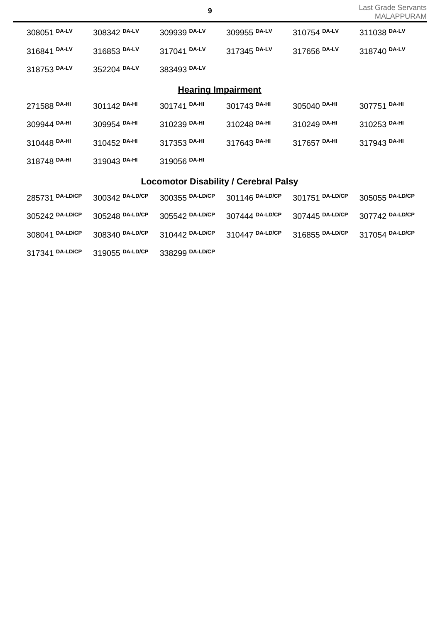| 308051 DA-LV    | 308342 DA-LV    | 309939 DA-LV                                 | 309955 DA-LV    | 310754 DA-LV    | 311038 DA-LV    |
|-----------------|-----------------|----------------------------------------------|-----------------|-----------------|-----------------|
| 316841 DA-LV    | 316853 DA-LV    | 317041 DA-LV                                 | 317345 DA-LV    | 317656 DA-LV    | 318740 DA-LV    |
| 318753 DA-LV    | 352204 DA-LV    | 383493 DA-LV                                 |                 |                 |                 |
|                 |                 | <b>Hearing Impairment</b>                    |                 |                 |                 |
| 271588 DA-HI    | 301142 DA-HI    | 301741 DA-HI                                 | 301743 DA-HI    | 305040 DA-HI    | 307751 DA-HI    |
| 309944 DA-HI    | 309954 DA-HI    | 310239 DA-HI                                 | 310248 DA-HI    | 310249 DA-HI    | 310253 DA-HI    |
| 310448 DA-HI    | 310452 DA-HI    | 317353 DA-HI                                 | 317643 DA-HI    | 317657 DA-HI    | 317943 DA-HI    |
| 318748 DA-HI    | 319043 DA-HI    | 319056 DA-HI                                 |                 |                 |                 |
|                 |                 | <b>Locomotor Disability / Cerebral Palsy</b> |                 |                 |                 |
| 285731 DA-LD/CP | 300342 DA-LD/CP | 300355 DA-LD/CP                              | 301146 DA-LD/CP | 301751 DA-LD/CP | 305055 DA-LD/CP |
| 305242 DA-LD/CP | 305248 DA-LD/CP | 305542 DA-LD/CP                              | 307444 DA-LD/CP | 307445 DA-LD/CP | 307742 DA-LD/CP |
| 308041 DA-LD/CP | 308340 DA-LD/CP | 310442 DA-LD/CP                              | 310447 DA-LD/CP | 316855 DA-LD/CP | 317054 DA-LD/CP |
| 317341 DA-LD/CP | 319055 DA-LD/CP | 338299 DA-LD/CP                              |                 |                 |                 |